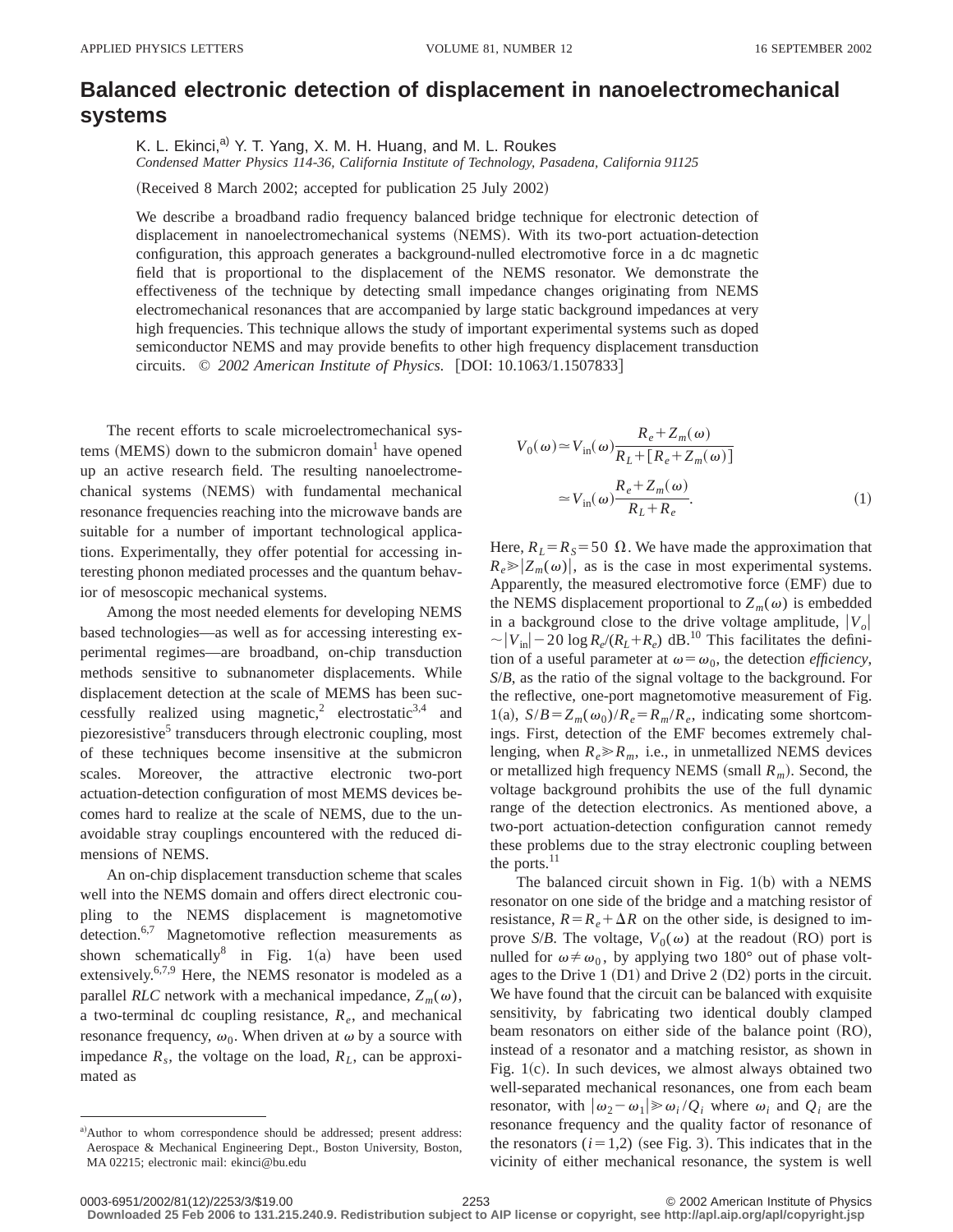## **Balanced electronic detection of displacement in nanoelectromechanical systems**

K. L. Ekinci,<sup>a)</sup> Y. T. Yang, X. M. H. Huang, and M. L. Roukes *Condensed Matter Physics 114-36, California Institute of Technology, Pasadena, California 91125*

(Received 8 March 2002; accepted for publication 25 July 2002)

We describe a broadband radio frequency balanced bridge technique for electronic detection of displacement in nanoelectromechanical systems (NEMS). With its two-port actuation-detection configuration, this approach generates a background-nulled electromotive force in a dc magnetic field that is proportional to the displacement of the NEMS resonator. We demonstrate the effectiveness of the technique by detecting small impedance changes originating from NEMS electromechanical resonances that are accompanied by large static background impedances at very high frequencies. This technique allows the study of important experimental systems such as doped semiconductor NEMS and may provide benefits to other high frequency displacement transduction circuits. © 2002 American Institute of Physics. [DOI: 10.1063/1.1507833]

The recent efforts to scale microelectromechanical systems  $(MEMS)$  down to the submicron domain<sup>1</sup> have opened up an active research field. The resulting nanoelectromechanical systems (NEMS) with fundamental mechanical resonance frequencies reaching into the microwave bands are suitable for a number of important technological applications. Experimentally, they offer potential for accessing interesting phonon mediated processes and the quantum behavior of mesoscopic mechanical systems.

Among the most needed elements for developing NEMS based technologies—as well as for accessing interesting experimental regimes—are broadband, on-chip transduction methods sensitive to subnanometer displacements. While displacement detection at the scale of MEMS has been successfully realized using magnetic,<sup>2</sup> electrostatic<sup>3,4</sup> and piezoresistive<sup>5</sup> transducers through electronic coupling, most of these techniques become insensitive at the submicron scales. Moreover, the attractive electronic two-port actuation-detection configuration of most MEMS devices becomes hard to realize at the scale of NEMS, due to the unavoidable stray couplings encountered with the reduced dimensions of NEMS.

An on-chip displacement transduction scheme that scales well into the NEMS domain and offers direct electronic coupling to the NEMS displacement is magnetomotive detection.<sup>6,7</sup> Magnetomotive reflection measurements as shown schematically in Fig.  $1(a)$  have been used extensively.<sup>6,7,9</sup> Here, the NEMS resonator is modeled as a parallel *RLC* network with a mechanical impedance,  $Z_m(\omega)$ , a two-terminal dc coupling resistance,  $R_e$ , and mechanical resonance frequency,  $\omega_0$ . When driven at  $\omega$  by a source with impedance  $R_s$ , the voltage on the load,  $R_L$ , can be approximated as

$$
V_0(\omega) \approx V_{\text{in}}(\omega) \frac{R_e + Z_m(\omega)}{R_L + [R_e + Z_m(\omega)]}
$$
  

$$
\approx V_{\text{in}}(\omega) \frac{R_e + Z_m(\omega)}{R_L + R_e}.
$$
 (1)

Here,  $R_L = R_S = 50 \Omega$ . We have made the approximation that  $R_e \ge |Z_m(\omega)|$ , as is the case in most experimental systems. Apparently, the measured electromotive force (EMF) due to the NEMS displacement proportional to  $Z_m(\omega)$  is embedded in a background close to the drive voltage amplitude,  $|V_o|$  $\sim |V_{\text{in}}| - 20 \log R_e/(R_L + R_e)$  dB.<sup>10</sup> This facilitates the definition of a useful parameter at  $\omega = \omega_0$ , the detection *efficiency*, *S*/*B*, as the ratio of the signal voltage to the background. For the reflective, one-port magnetomotive measurement of Fig. 1(a),  $S/B = Z_m(\omega_0)/R_e = R_m/R_e$ , indicating some shortcomings. First, detection of the EMF becomes extremely challenging, when  $R_e \ge R_m$ , i.e., in unmetallized NEMS devices or metallized high frequency NEMS (small  $R_m$ ). Second, the voltage background prohibits the use of the full dynamic range of the detection electronics. As mentioned above, a two-port actuation-detection configuration cannot remedy these problems due to the stray electronic coupling between the ports. $^{11}$ 

The balanced circuit shown in Fig.  $1(b)$  with a NEMS resonator on one side of the bridge and a matching resistor of resistance,  $R = R_e + \Delta R$  on the other side, is designed to improve *S/B*. The voltage,  $V_0(\omega)$  at the readout (RO) port is nulled for  $\omega \neq \omega_0$ , by applying two 180° out of phase voltages to the Drive 1  $(D1)$  and Drive 2  $(D2)$  ports in the circuit. We have found that the circuit can be balanced with exquisite sensitivity, by fabricating two identical doubly clamped beam resonators on either side of the balance point  $(RO)$ , instead of a resonator and a matching resistor, as shown in Fig.  $1(c)$ . In such devices, we almost always obtained two well-separated mechanical resonances, one from each beam resonator, with  $|\omega_2 - \omega_1| \geq \omega_i / Q_i$  where  $\omega_i$  and  $Q_i$  are the resonance frequency and the quality factor of resonance of the resonators  $(i=1,2)$  (see Fig. 3). This indicates that in the vicinity of either mechanical resonance, the system is well

a)Author to whom correspondence should be addressed; present address: Aerospace & Mechanical Engineering Dept., Boston University, Boston, MA 02215; electronic mail: ekinci@bu.edu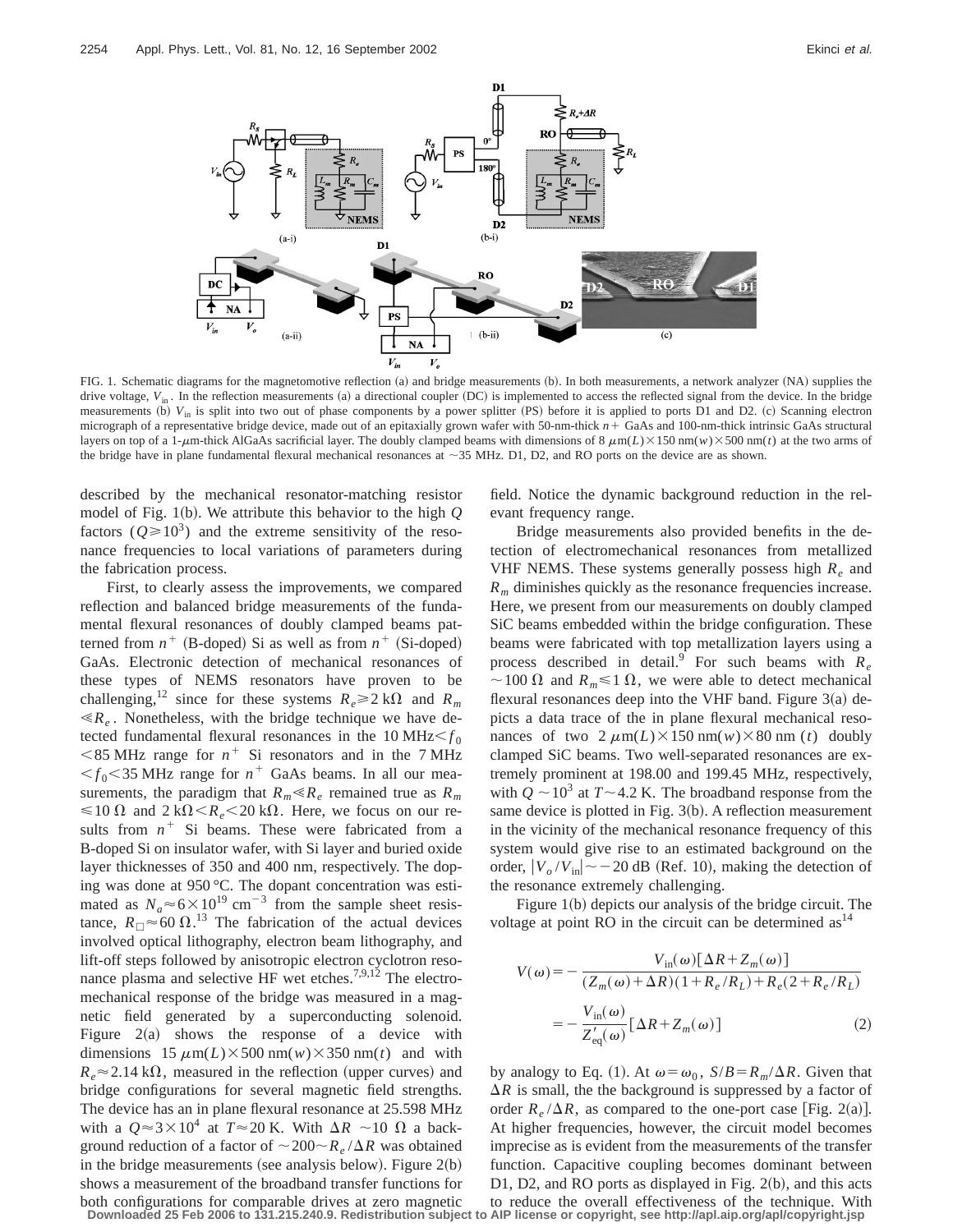

FIG. 1. Schematic diagrams for the magnetomotive reflection (a) and bridge measurements (b). In both measurements, a network analyzer (NA) supplies the drive voltage,  $V_{in}$ . In the reflection measurements (a) a directional coupler (DC) is implemented to access the reflected signal from the device. In the bridge measurements (b)  $V_{in}$  is split into two out of phase components by a power splitter (PS) before it is applied to ports D1 and D2. (c) Scanning electron micrograph of a representative bridge device, made out of an epitaxially grown wafer with 50-nm-thick *n*+ GaAs and 100-nm-thick intrinsic GaAs structural layers on top of a 1- $\mu$ m-thick AlGaAs sacrificial layer. The doubly clamped beams with dimensions of 8  $\mu$ m(*L*)×150 nm(*w*)×500 nm(*t*) at the two arms of the bridge have in plane fundamental flexural mechanical resonances at  $\sim$ 35 MHz. D1, D2, and RO ports on the device are as shown.

described by the mechanical resonator-matching resistor model of Fig. 1(b). We attribute this behavior to the high  $Q$ factors  $(Q \ge 10^3)$  and the extreme sensitivity of the resonance frequencies to local variations of parameters during the fabrication process.

First, to clearly assess the improvements, we compared reflection and balanced bridge measurements of the fundamental flexural resonances of doubly clamped beams patterned from  $n^+$  (B-doped) Si as well as from  $n^+$  (Si-doped) GaAs. Electronic detection of mechanical resonances of these types of NEMS resonators have proven to be challenging,<sup>12</sup> since for these systems  $R_e \ge 2 \text{ k}\Omega$  and  $R_m$  $\ll R_e$ . Nonetheless, with the bridge technique we have detected fundamental flexural resonances in the 10 MHz $\leq f_0$  $<$  85 MHz range for  $n^+$  Si resonators and in the 7 MHz  $\leq f_0 \leq 35$  MHz range for  $n^+$  GaAs beams. In all our measurements, the paradigm that  $R_m \ll R_e$  remained true as  $R_m$  $\leq 10 \Omega$  and  $2 k\Omega < R_e < 20 k\Omega$ . Here, we focus on our results from  $n^+$  Si beams. These were fabricated from a B-doped Si on insulator wafer, with Si layer and buried oxide layer thicknesses of 350 and 400 nm, respectively. The doping was done at 950 °C. The dopant concentration was estimated as  $N_a \approx 6 \times 10^{19}$  cm<sup>-3</sup> from the sample sheet resistance,  $R_{\Box} \approx 60 \Omega$ .<sup>13</sup> The fabrication of the actual devices involved optical lithography, electron beam lithography, and lift-off steps followed by anisotropic electron cyclotron resonance plasma and selective HF wet etches.<sup>7,9,12</sup> The electromechanical response of the bridge was measured in a magnetic field generated by a superconducting solenoid. Figure  $2(a)$  shows the response of a device with dimensions  $15 \mu m(L) \times 500 \text{ nm}(w) \times 350 \text{ nm}(t)$  and with  $R_e \approx 2.14 \text{ k}\Omega$ , measured in the reflection (upper curves) and bridge configurations for several magnetic field strengths. The device has an in plane flexural resonance at 25.598 MHz with a  $Q \approx 3 \times 10^4$  at  $T \approx 20$  K. With  $\Delta R \sim 10 \Omega$  a background reduction of a factor of  $\sim 200 \sim R_e/\Delta R$  was obtained in the bridge measurements (see analysis below). Figure  $2(b)$ shows a measurement of the broadband transfer functions for both configurations for comparable drives at zero magnetic field. Notice the dynamic background reduction in the relevant frequency range.

Bridge measurements also provided benefits in the detection of electromechanical resonances from metallized VHF NEMS. These systems generally possess high  $R_e$  and *Rm* diminishes quickly as the resonance frequencies increase. Here, we present from our measurements on doubly clamped SiC beams embedded within the bridge configuration. These beams were fabricated with top metallization layers using a process described in detail.<sup>9</sup> For such beams with  $R_e$  $\sim$ 100  $\Omega$  and  $R_m \le 1 \Omega$ , we were able to detect mechanical flexural resonances deep into the VHF band. Figure  $3(a)$  depicts a data trace of the in plane flexural mechanical resonances of two  $2 \mu m(L) \times 150 \text{ nm}(w) \times 80 \text{ nm} (t)$  doubly clamped SiC beams. Two well-separated resonances are extremely prominent at 198.00 and 199.45 MHz, respectively, with  $Q \sim 10^3$  at  $T \sim 4.2$  K. The broadband response from the same device is plotted in Fig.  $3(b)$ . A reflection measurement in the vicinity of the mechanical resonance frequency of this system would give rise to an estimated background on the order,  $|V_o/V_{in}| \sim$  - 20 dB (Ref. 10), making the detection of the resonance extremely challenging.

Figure  $1(b)$  depicts our analysis of the bridge circuit. The voltage at point RO in the circuit can be determined  $as<sup>14</sup>$ 

$$
V(\omega) = -\frac{V_{\text{in}}(\omega)[\Delta R + Z_m(\omega)]}{(Z_m(\omega) + \Delta R)(1 + R_e/R_L) + R_e(2 + R_e/R_L)}
$$

$$
= -\frac{V_{\text{in}}(\omega)}{Z'_{\text{eq}}(\omega)}[\Delta R + Z_m(\omega)] \tag{2}
$$

by analogy to Eq. (1). At  $\omega = \omega_0$ ,  $S/B = R_m/\Delta R$ . Given that  $\Delta R$  is small, the the background is suppressed by a factor of order  $R_e/\Delta R$ , as compared to the one-port case [Fig. 2(a)]. At higher frequencies, however, the circuit model becomes imprecise as is evident from the measurements of the transfer function. Capacitive coupling becomes dominant between D1, D2, and RO ports as displayed in Fig.  $2(b)$ , and this acts to reduce the overall effectiveness of the technique. With

**Downloaded 25 Feb 2006 to 131.215.240.9. Redistribution subject to AIP license or copyright, see http://apl.aip.org/apl/copyright.jsp**